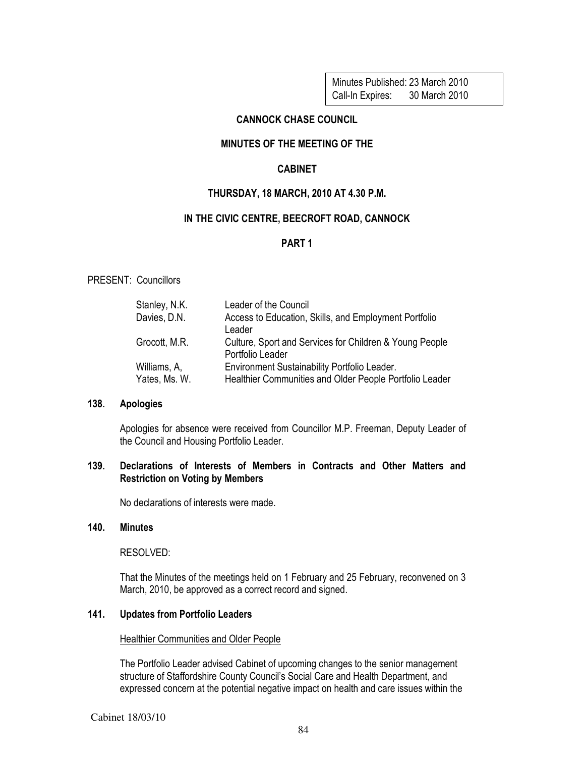Minutes Published: 23 March 2010 Call-In Expires: 30 March 2010

### CANNOCK CHASE COUNCIL

### MINUTES OF THE MEETING OF THE

### CABINET

### THURSDAY, 18 MARCH, 2010 AT 4.30 P.M.

### IN THE CIVIC CENTRE, BEECROFT ROAD, CANNOCK

### PART 1

#### PRESENT: Councillors

| Stanley, N.K. | Leader of the Council                                                       |
|---------------|-----------------------------------------------------------------------------|
| Davies, D.N.  | Access to Education, Skills, and Employment Portfolio<br>Leader             |
| Grocott, M.R. | Culture, Sport and Services for Children & Young People<br>Portfolio Leader |
| Williams, A,  | Environment Sustainability Portfolio Leader.                                |
| Yates, Ms. W. | Healthier Communities and Older People Portfolio Leader                     |

### 138. Apologies

Apologies for absence were received from Councillor M.P. Freeman, Deputy Leader of the Council and Housing Portfolio Leader.

### 139. Declarations of Interests of Members in Contracts and Other Matters and Restriction on Voting by Members

No declarations of interests were made.

#### 140. Minutes

RESOLVED:

 That the Minutes of the meetings held on 1 February and 25 February, reconvened on 3 March, 2010, be approved as a correct record and signed.

### 141. Updates from Portfolio Leaders

#### Healthier Communities and Older People

The Portfolio Leader advised Cabinet of upcoming changes to the senior management structure of Staffordshire County Council's Social Care and Health Department, and expressed concern at the potential negative impact on health and care issues within the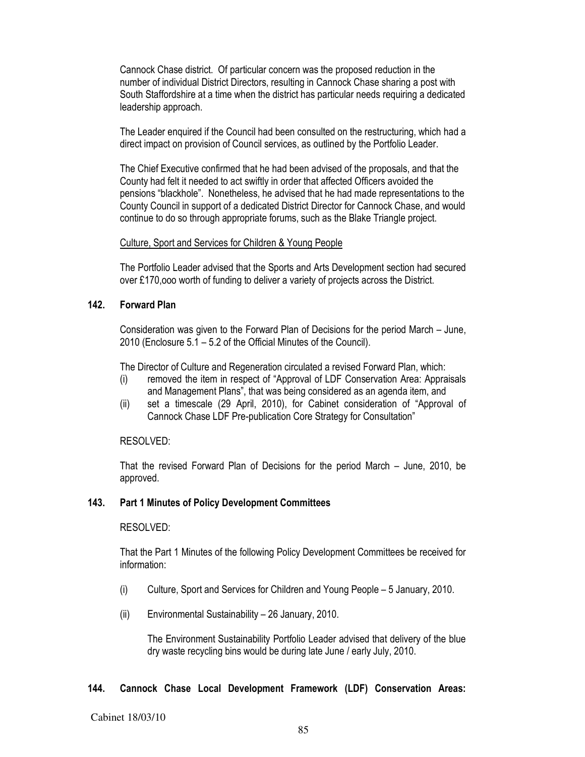Cannock Chase district. Of particular concern was the proposed reduction in the number of individual District Directors, resulting in Cannock Chase sharing a post with South Staffordshire at a time when the district has particular needs requiring a dedicated leadership approach.

The Leader enquired if the Council had been consulted on the restructuring, which had a direct impact on provision of Council services, as outlined by the Portfolio Leader.

The Chief Executive confirmed that he had been advised of the proposals, and that the County had felt it needed to act swiftly in order that affected Officers avoided the pensions "blackhole". Nonetheless, he advised that he had made representations to the County Council in support of a dedicated District Director for Cannock Chase, and would continue to do so through appropriate forums, such as the Blake Triangle project.

### Culture, Sport and Services for Children & Young People

The Portfolio Leader advised that the Sports and Arts Development section had secured over £170,ooo worth of funding to deliver a variety of projects across the District.

# 142. Forward Plan

 Consideration was given to the Forward Plan of Decisions for the period March – June, 2010 (Enclosure 5.1 – 5.2 of the Official Minutes of the Council).

The Director of Culture and Regeneration circulated a revised Forward Plan, which:

- (i) removed the item in respect of "Approval of LDF Conservation Area: Appraisals and Management Plans", that was being considered as an agenda item, and
- (ii) set a timescale (29 April, 2010), for Cabinet consideration of "Approval of Cannock Chase LDF Pre-publication Core Strategy for Consultation"

# RESOLVED:

 That the revised Forward Plan of Decisions for the period March – June, 2010, be approved.

# 143. Part 1 Minutes of Policy Development Committees

# RESOLVED:

That the Part 1 Minutes of the following Policy Development Committees be received for information:

- (i) Culture, Sport and Services for Children and Young People 5 January, 2010.
- (ii) Environmental Sustainability 26 January, 2010.

The Environment Sustainability Portfolio Leader advised that delivery of the blue dry waste recycling bins would be during late June / early July, 2010.

# 144. Cannock Chase Local Development Framework (LDF) Conservation Areas:

#### Cabinet 18/03/10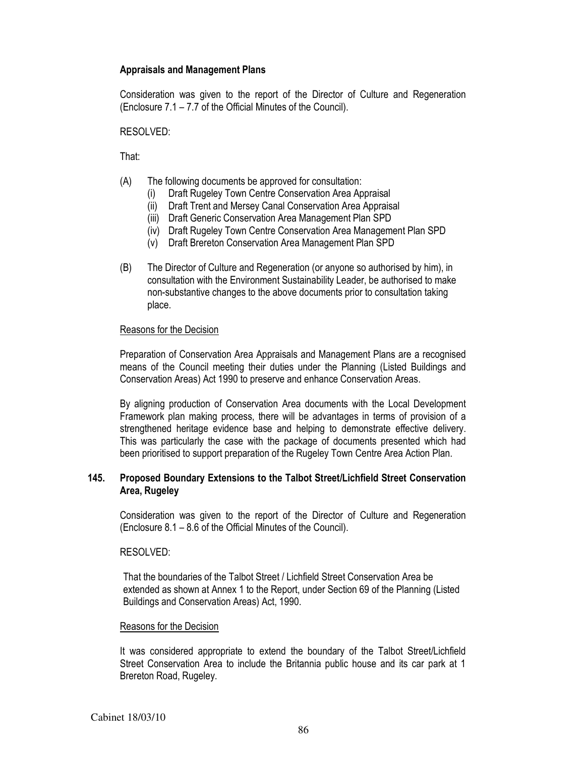### Appraisals and Management Plans

 Consideration was given to the report of the Director of Culture and Regeneration (Enclosure 7.1 – 7.7 of the Official Minutes of the Council).

#### RESOLVED:

That:

- (A) The following documents be approved for consultation:
	- (i) Draft Rugeley Town Centre Conservation Area Appraisal
	- (ii) Draft Trent and Mersey Canal Conservation Area Appraisal
	- (iii) Draft Generic Conservation Area Management Plan SPD
	- (iv) Draft Rugeley Town Centre Conservation Area Management Plan SPD
	- (v) Draft Brereton Conservation Area Management Plan SPD
- (B) The Director of Culture and Regeneration (or anyone so authorised by him), in consultation with the Environment Sustainability Leader, be authorised to make non-substantive changes to the above documents prior to consultation taking place.

### Reasons for the Decision

 Preparation of Conservation Area Appraisals and Management Plans are a recognised means of the Council meeting their duties under the Planning (Listed Buildings and Conservation Areas) Act 1990 to preserve and enhance Conservation Areas.

By aligning production of Conservation Area documents with the Local Development Framework plan making process, there will be advantages in terms of provision of a strengthened heritage evidence base and helping to demonstrate effective delivery. This was particularly the case with the package of documents presented which had been prioritised to support preparation of the Rugeley Town Centre Area Action Plan.

### 145. Proposed Boundary Extensions to the Talbot Street/Lichfield Street Conservation Area, Rugeley

 Consideration was given to the report of the Director of Culture and Regeneration (Enclosure 8.1 – 8.6 of the Official Minutes of the Council).

### RESOLVED:

 That the boundaries of the Talbot Street / Lichfield Street Conservation Area be extended as shown at Annex 1 to the Report, under Section 69 of the Planning (Listed Buildings and Conservation Areas) Act, 1990.

### Reasons for the Decision

It was considered appropriate to extend the boundary of the Talbot Street/Lichfield Street Conservation Area to include the Britannia public house and its car park at 1 Brereton Road, Rugeley.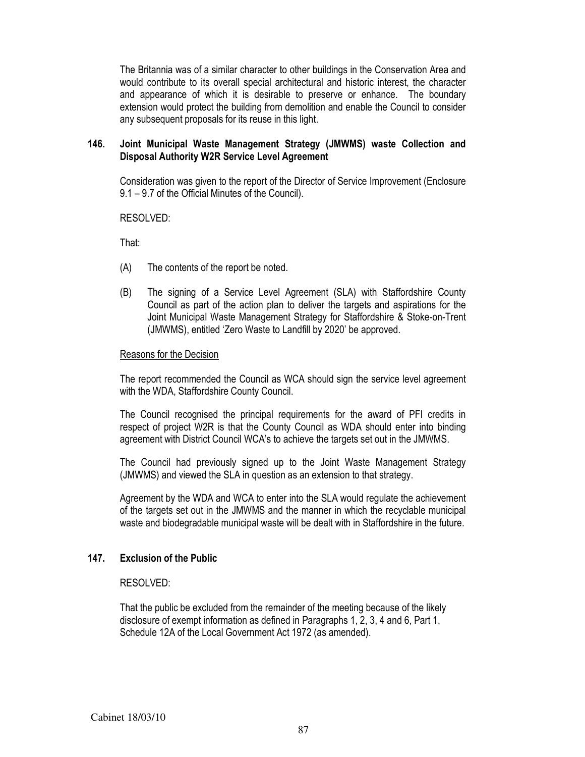The Britannia was of a similar character to other buildings in the Conservation Area and would contribute to its overall special architectural and historic interest, the character and appearance of which it is desirable to preserve or enhance. The boundary extension would protect the building from demolition and enable the Council to consider any subsequent proposals for its reuse in this light.

### 146. Joint Municipal Waste Management Strategy (JMWMS) waste Collection and Disposal Authority W2R Service Level Agreement

 Consideration was given to the report of the Director of Service Improvement (Enclosure 9.1 – 9.7 of the Official Minutes of the Council).

### RESOLVED:

That:

- (A) The contents of the report be noted.
- (B) The signing of a Service Level Agreement (SLA) with Staffordshire County Council as part of the action plan to deliver the targets and aspirations for the Joint Municipal Waste Management Strategy for Staffordshire & Stoke-on-Trent (JMWMS), entitled 'Zero Waste to Landfill by 2020' be approved.

#### Reasons for the Decision

The report recommended the Council as WCA should sign the service level agreement with the WDA, Staffordshire County Council.

The Council recognised the principal requirements for the award of PFI credits in respect of project W2R is that the County Council as WDA should enter into binding agreement with District Council WCA's to achieve the targets set out in the JMWMS.

The Council had previously signed up to the Joint Waste Management Strategy (JMWMS) and viewed the SLA in question as an extension to that strategy.

Agreement by the WDA and WCA to enter into the SLA would regulate the achievement of the targets set out in the JMWMS and the manner in which the recyclable municipal waste and biodegradable municipal waste will be dealt with in Staffordshire in the future.

### 147. Exclusion of the Public

### RESOLVED:

That the public be excluded from the remainder of the meeting because of the likely disclosure of exempt information as defined in Paragraphs 1, 2, 3, 4 and 6, Part 1, Schedule 12A of the Local Government Act 1972 (as amended).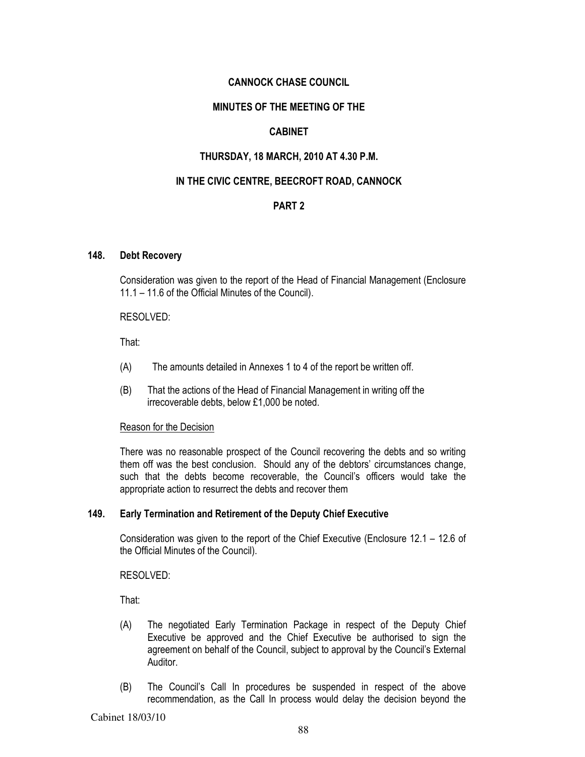# CANNOCK CHASE COUNCIL

# MINUTES OF THE MEETING OF THE

# CABINET

### THURSDAY, 18 MARCH, 2010 AT 4.30 P.M.

### IN THE CIVIC CENTRE, BEECROFT ROAD, CANNOCK

### PART 2

#### 148. Debt Recovery

 Consideration was given to the report of the Head of Financial Management (Enclosure 11.1 – 11.6 of the Official Minutes of the Council).

#### RESOLVED:

That:

- (A) The amounts detailed in Annexes 1 to 4 of the report be written off.
- (B) That the actions of the Head of Financial Management in writing off the irrecoverable debts, below £1,000 be noted.

#### Reason for the Decision

There was no reasonable prospect of the Council recovering the debts and so writing them off was the best conclusion. Should any of the debtors' circumstances change, such that the debts become recoverable, the Council's officers would take the appropriate action to resurrect the debts and recover them

### 149. Early Termination and Retirement of the Deputy Chief Executive

 Consideration was given to the report of the Chief Executive (Enclosure 12.1 – 12.6 of the Official Minutes of the Council).

RESOLVED:

That:

- (A) The negotiated Early Termination Package in respect of the Deputy Chief Executive be approved and the Chief Executive be authorised to sign the agreement on behalf of the Council, subject to approval by the Council's External Auditor.
- (B) The Council's Call In procedures be suspended in respect of the above recommendation, as the Call In process would delay the decision beyond the

Cabinet 18/03/10